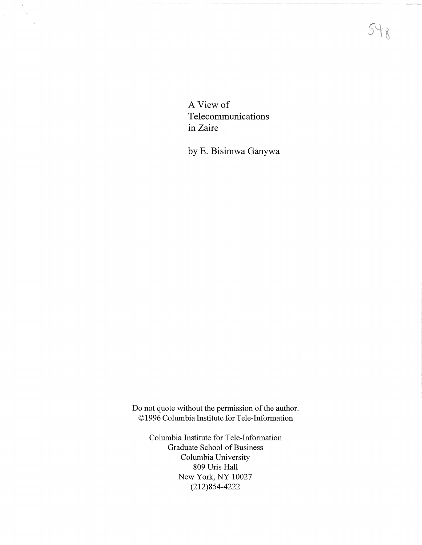$5 + 6$ 

A View of Telecommunications in Zaire

 $\sim$  $\mathcal{H}_\alpha$ 

 $\sim$ 

 $\bar{t}$ 

by E. Bisimwa Ganywa

Do not quote without the permission of the author. © 1996 Columbia Institute for Tele-Information

> Columbia Institute for Tele-Information Graduate School of Business Columbia University 809 Uris Hall New York, NY 10027 (212)854-4222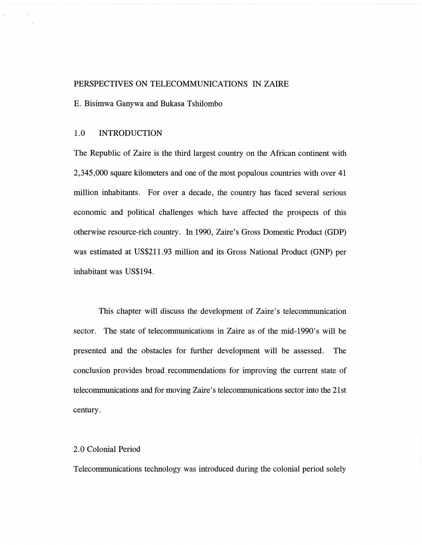## PERSPECTIVES ON TELECOMMUNICATIONS IN ZAIRE

E. Bisimwa Ganywa and Bukasa Tshilombo

#### 1.0 **INTRODUCTION**

The Republic of Zaire is the third largest country on the African continent with 2,345,000 square kilometers and one of the most populous countries with over 41 million inhabitants. For over a decade, the country has faced several serious economic and political challenges which have affected the prospects of this otherwise resource-rich country. In 1990, Zaire's Gross Domestic Product (GDP) was estimated at US\$211.93 million and its Gross National Product **(GNP)** per inhabitant was US\$194.

This chapter will discuss the development of Zaire's telecommunication sector. The state of telecommunications in Zaire as of the mid-1990's will be presented and the obstacles for further development will be assessed. The conclusion provides broad recommendations for improving the current state of telecommunications and for moving Zaire's telecommunications sector into the 21st century.

#### 2.0 Colonial Period

Telecommunications technology was introduced during the colonial period solely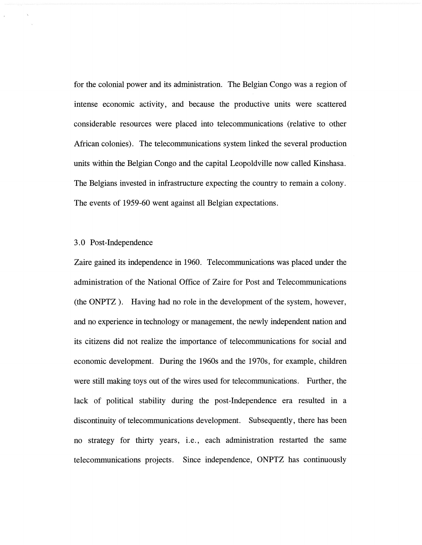for the colonial power and its administration. The Belgian Congo was a region of intense economic activity, and because the productive units were scattered considerable resources were placed into telecommunications (relative to other African colonies). The telecommunications system linked the several production units within the Belgian Congo and the capital Leopoldville now called Kinshasa. The Belgians invested in infrastructure expecting the country to remain a colony. The events of 1959-60 went against all Belgian expectations.

# 3. 0 Post-Independence

Zaire gained its independence in 1960. Telecommunications was placed under the administration of the National Office of Zaire for Post and Telecommunications (the ONPTZ ). Having had no role in the development of the system, however, and no experience in technology or management, the newly independent nation and its citizens did not realize the importance of telecommunications for social and economic development. During the 1960s and the 1970s, for example, children were still making toys out of the wires used for telecommunications. Further, the lack of political stability during the post-Independence era resulted in a discontinuity of telecommunications development. Subsequently, there has been no strategy for thirty years, i.e., each administration restarted the same telecommunications projects. Since independence, ONPTZ has continuously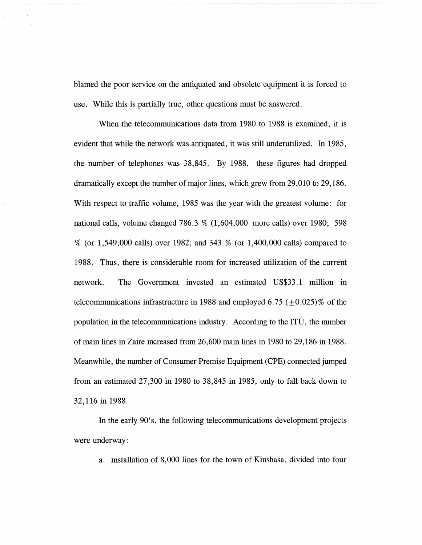blamed the poor service on the antiquated and obsolete equipment it is forced to use. While this is partially true, other questions must be answered.

When the telecommunications data from 1980 to 1988 is examined, it is evident that while the network was antiquated, it was still underutilized. In 1985, the number of telephones was 38,845. By 1988, these figures had dropped dramatically except the number of major lines, which grew from 29,010 to 29,186. With respect to traffic volume, 1985 was the year with the greatest volume: for national calls, volume changed 786.3 % (1,604,000 more calls) over 1980; 598 % (or 1,549,000 calls) over 1982; and 343 % (or 1,400,000 calls) compared to 1988. Thus, there is considerable room for increased utilization of the current network. The Government invested an estimated US\$33 .1 million in telecommunications infrastructure in 1988 and employed 6.75 ( $\pm$ 0.025)% of the population in the telecommunications industry. According to the ITU, the number of main lines in Zaire increased from 26,600 main lines in 1980 to 29,186 in 1988. Meanwhile, the number of Consumer Premise Equipment (CPE) connected jumped from an estimated 27,300 in 1980 to 38,845 in 1985, only to fall back down to 32,116 in 1988.

In the early 90's, the following telecommunications development projects were underway:

a. installation of 8,000 lines for the town of Kinshasa, divided into four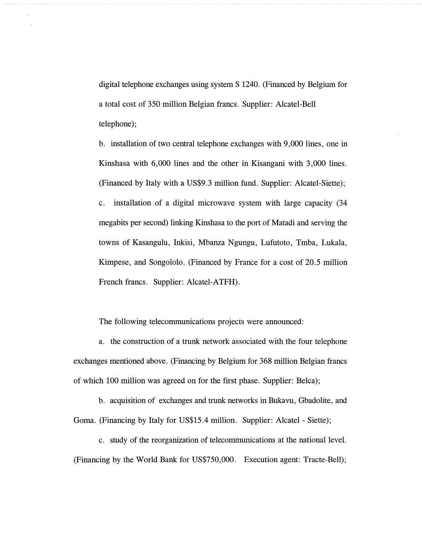digital telephone exchanges using system S 1240. (Financed by Belgium for a total cost of 350 million Belgian francs. Supplier: Alcatel-Bell telephone);

b. installation of two central telephone exchanges with 9,000 lines, one in Kinshasa with 6,000 lines and the other in Kisangani with 3,000 lines. (Financed by Italy with a US\$9.3 million fund. Supplier: Alcatel-Siette); c. installation of a digital microwave system with large capacity (34 megabits per second) linking Kinshasa to the port of Matadi and serving the towns of Kasangulu, Inkisi, Mbanza Ngungu, Lufutoto, Tmba, Lukala, Kimpese, and Songololo. (Financed by France for a cost of 20.5 million French francs. Supplier: Alcatel-ATFH).

The following telecommunications projects were announced:

a. the construction of a trunk network associated with the four telephone exchanges mentioned above. (Financing by Belgium for 368 million Belgian francs of which 100 million was agreed on for the first phase. Supplier: Belca);

b. acquisition of exchanges and trunk networks in Bukavu, Gbadolite, and Goma. (Financing by Italy for US\$15.4 million. Supplier: Alcatel - Siette);

c. study of the reorganization of telecommunications at the national level. (Financing by the World Bank for US\$750,000. Execution agent: Tracte-Bell);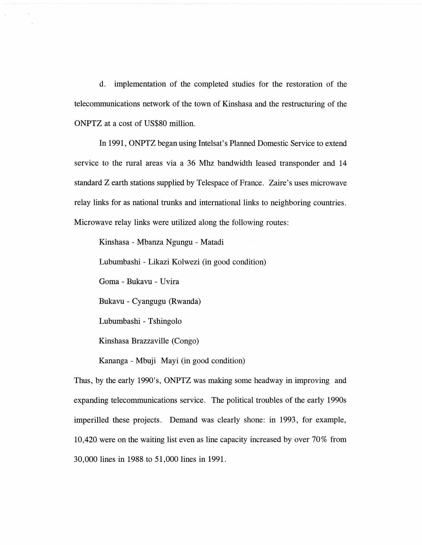d. implementation of the completed studies for the restoration of the telecommunications network of the town of Kinshasa and the restructuring of the ONPTZ at a cost of US\$80 million.

In 1991, ONPTZ began using Intelsat's Planned Domestic Service to extend service to the rural areas via a 36 Mhz bandwidth leased transponder and 14 standard Z earth stations supplied by Telespace of France. Zaire's uses microwave relay links for as national trunks and international links to neighboring countries. Microwave relay links were utilized along the following routes:

Kinshasa - Mbanza Ngungu - Matadi Lubumbashi - Likazi Kolwezi (in good condition) Goma - Bukavu - Uvira Bukavu - Cyangugu (Rwanda) Lubumbashi - Tshingolo Kinshasa Brazzaville (Congo) Kananga - Mbuji Mayi (in good condition)

Thus, by the early 1990's, ONPTZ was making some headway in improving and expanding telecommunications service. The political troubles of the early 1990s imperilled these projects. Demand was clearly shone: in 1993, for example, 10,420 were on the waiting list even as line capacity increased by over 70% from 30,000 lines in 1988 to 51,000 lines in 1991.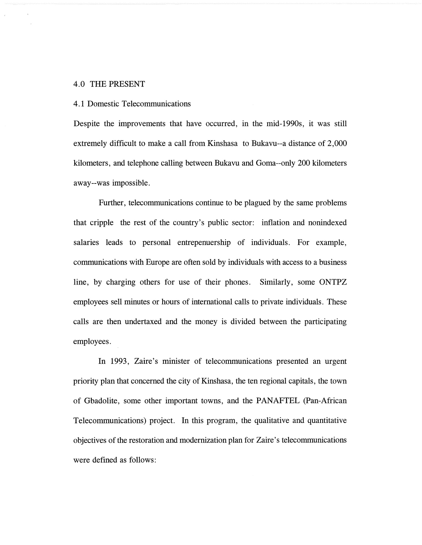#### 4.0 THE PRESENT

#### 4.1 Domestic Telecommunications

Despite the improvements that have occurred, in the mid-1990s, it was still extremely difficult to make a call from Kinshasa to Bukavu--a distance of 2,000 kilometers, and telephone calling between Bukavu and Goma--only 200 kilometers away--was impossible.

Further, telecommunications continue to be plagued by the same problems that cripple the rest of the country's public sector: inflation and nonindexed salaries leads to personal entrepenuership of individuals. For example, communications with Europe are often sold by individuals with access to a business line, by charging others for use of their phones. Similarly, some ONTPZ employees sell minutes or hours of international calls to private individuals. These calls are then undertaxed and the money is divided between the participating employees.

In 1993, Zaire's minister of telecommunications presented an urgent priority plan that concerned the city of Kinshasa, the ten regional capitals, the town of Gbadolite, some other important towns, and the PANAFTEL (Pan-African Telecommunications) project. In this program, the qualitative and quantitative objectives of the restoration and modernization plan for Zaire's telecommunications were defined as follows: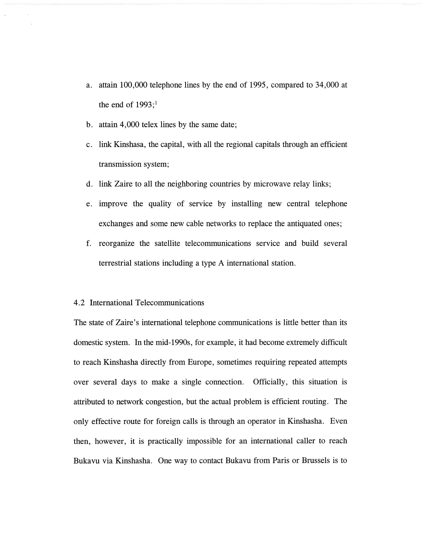- a. attain 100,000 telephone lines by the end of 1995, compared to 34,000 at the end of  $1993;1$
- b. attain 4,000 telex lines by the same date;
- c. link Kinshasa, the capital, with all the regional capitals through an efficient transmission system;
- d. link Zaire to all the neighboring countries by microwave relay links;
- e. improve the quality of service by installing new central telephone exchanges and some new cable networks to replace the antiquated ones;
- f. reorganize the satellite telecommunications service and build several terrestrial stations including a type A international station.

## 4 .2 International Telecommunications

The state of Zaire's international telephone communications is little better than its domestic system. In the mid-1990s, for example, it had become extremely difficult to reach Kinshasha directly from Europe, sometimes requiring repeated attempts over several days to make a single connection. Officially, this situation is attributed to network congestion, but the actual problem is efficient routing. The only effective route for foreign calls is through an operator in Kinshasha. Even then, however, it is practically impossible for an international caller to reach Bukavu via Kinshasha. One way to contact Bukavu from Paris or Brussels is to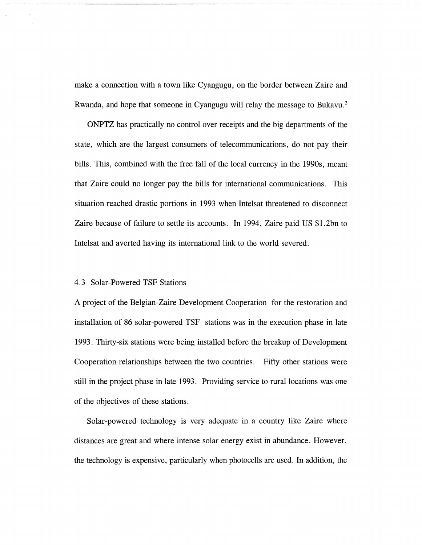make a connection with a town like Cyangugu, on the border between Zaire and Rwanda, and hope that someone in Cyangugu will relay the message to Bukavu. 2

ONPTZ has practically no control over receipts and the big departments of the state, which are the largest consumers of telecommunications, do not pay their bills. This, combined with the free fall of the local currency in the 1990s, meant that Zaire could no longer pay the bills for international communications. This situation reached drastic portions in 1993 when Intelsat threatened to disconnect Zaire because of failure to settle its accounts. In 1994, Zaire paid US \$1.2bn to Intelsat and averted having its international link to the world severed.

### 4.3 Solar-Powered TSF Stations

A project of the Belgian-Zaire Development Cooperation for the restoration and installation of 86 solar-powered TSF stations was in the execution phase in late 1993. Thirty-six stations were being installed before the breakup of Development Cooperation relationships between the two countries. Fifty other stations were still in the project phase in late 1993. Providing service to rural locations was one of the objectives of these stations.

Solar-powered technology is very adequate in a country like Zaire where distances are great and where intense solar energy exist in abundance. However, the technology is expensive, particularly when photocells are used. In addition, the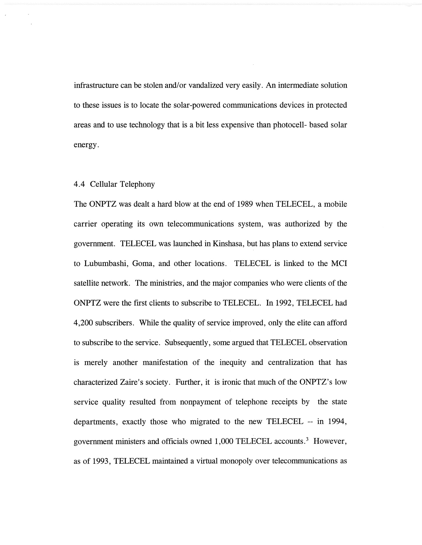infrastructure can be stolen and/or vandalized very easily. An intermediate solution to these issues is to locate the solar-powered communications devices in protected areas and to use technology that is a bit less expensive than photocell- based solar energy.

## 4.4 Cellular Telephony

The ONPTZ was dealt a hard blow at the end of 1989 when TELECEL, a mobile carrier operating its own telecommunications system, was authorized by the government. TELECEL was launched in Kinshasa, but has plans to extend service to Lubumbashi, Goma, and other locations. TELECEL is linked to the MCI satellite network. The ministries, and the major companies who were clients of the ONPTZ were the first clients to subscribe to TELECEL. In 1992, TELECEL had 4,200 subscribers. While the quality of service improved, only the elite can afford to subscribe to the service. Subsequently, some argued that TELECEL observation is merely another manifestation of the inequity and centralization that has characterized Zaire's society. Further, it is ironic that much of the ONPTZ's low service quality resulted from nonpayment of telephone receipts by the state departments, exactly those who migrated to the new TELECEL -- in 1994, government ministers and officials owned 1,000 TELECEL accounts.3 However, as of 1993, TELECEL maintained a virtual monopoly over telecommunications as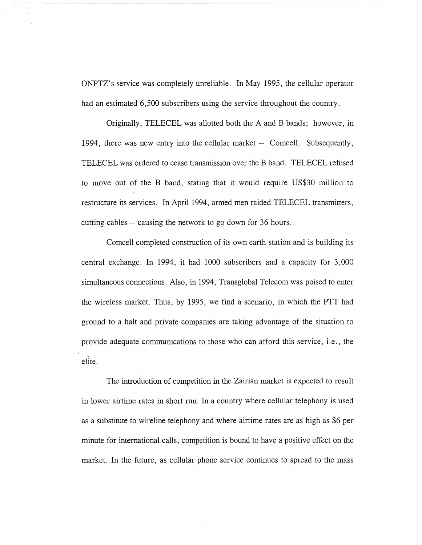ONPTZ's service was completely unreliable. In May 1995, the cellular operator had an estimated 6,500 subscribers using the service throughout the country.

Originally, TELECEL was allotted both the A and B bands; however, in 1994, there was new entry into the cellular market -- Comcell. Subsequently, TELECEL was ordered to cease transmission over the B band. TELECEL refused to move out of the B band, stating that it would require US\$30 million to restructure its services. In April 1994, armed men raided TELECEL transmitters, cutting cables -- causing the network to go down for 36 hours.

Comcell completed construction of its own earth station and is building its central exchange. In 1994, it had 1000 subscribers and a capacity for 3,000 simultaneous connections. Also, in 1994, Transglobal Telecom was poised to enter the wireless market. Thus, by 1995, we find a scenario, in which the PTT had ground to a halt and private companies are taking advantage of the situation to provide adequate communications to those who can afford this service, i.e., the . elite.

The introduction of competition in the Zairian market is expected to result in lower airtime rates in short run. In a country where cellular telephony is used as a substitute to wireline telephony and where airtime rates are as high as \$6 per minute for international calls, competition is bound to have a positive effect on the market. In the future, as cellular phone service continues to spread to the mass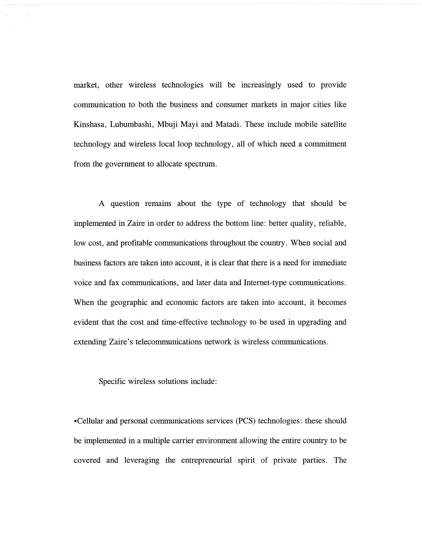market, other wireless technologies will be increasingly used to provide communication to both the business and consumer markets in major cities like Kinshasa, Lubumbashi, Mbuji Mayi and Matadi. These include mobile satellite technology and wireless local loop technology, all of which need a commitment from the government to allocate spectrum.

A question remains about the type of technology that should be implemented in Zaire in order to address the bottom line: better quality, reliable, low cost, and profitable communications throughout the country. When social and business factors are taken into account, it is clear that there is a need for immediate voice and fax communications, and later data and Internet-type communications. When the geographic and economic factors are taken into account, it becomes evident that the cost and time-effective technology to be used in upgrading and extending Zaire's telecommunications network is wireless communications.

Specific wireless solutions include:

•Cellular and personal communications services (PCS) technologies: these should be implemented in a multiple carrier environment allowing the entire country to be covered and leveraging the entrepreneurial spirit of private parties. The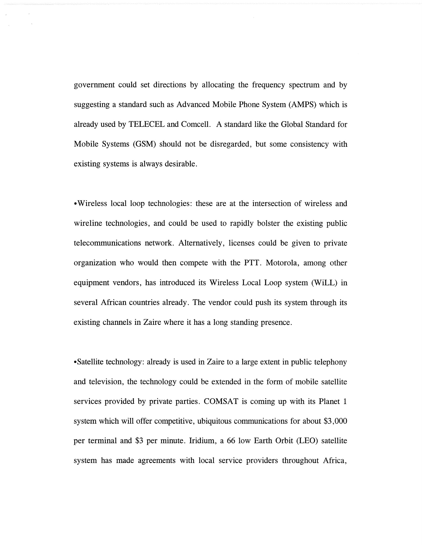government could set directions by allocating the frequency spectrum and by suggesting a standard such as Advanced Mobile Phone System (AMPS) which is already used by TELECEL and Comcell. A standard like the Global Standard for Mobile Systems **(GSM)** should not be disregarded, but some consistency with existing systems is always desirable.

•Wireless local loop technologies: these are at the intersection of wireless and wireline technologies, and could be used to rapidly bolster the existing public telecommunications network. Alternatively, licenses could be given to private organization who would then compete with the PTT. Motorola, among other equipment vendors, has introduced its Wireless Local Loop system (WiLL) in several African countries already. The vendor could push its system through its existing channels in Zaire where it has a long standing presence.

•Satellite technology: already is used in Zaire to a large extent in public telephony and television, the technology could be extended in the form of mobile satellite services provided by private parties. COMSAT is coming up with its Planet 1 system which will offer competitive, ubiquitous communications for about \$3,000 per terminal and \$3 per minute. Iridium, a 66 low Earth Orbit (LEO) satellite system has made agreements with local service providers throughout Africa,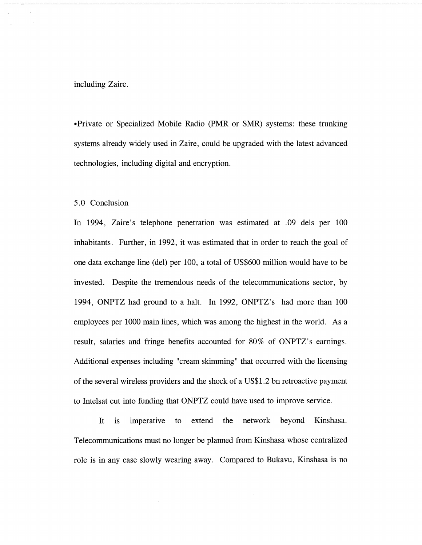including Zaire.

• Private or Specialized Mobile Radio (PMR or SMR) systems: these trunking systems already widely used in Zaire, could be upgraded with the latest advanced technologies, including digital and encryption.

5. 0 Conclusion

In 1994, Zaire's telephone penetration was estimated at . 09 dels per 100 inhabitants. Further, in 1992, it was estimated that in order to reach the goal of one data exchange line (del) per 100, a total of US\$600 million would have to be invested. Despite the tremendous needs of the telecommunications sector, by 1994, ONPTZ had ground to a halt. In 1992, ONPTZ's had more than 100 employees per 1000 main lines, which was among the highest in the world. As a result, salaries and fringe benefits accounted for 80% of ONPTZ's earnings. Additional expenses including "cream skimming" that occurred with the licensing of the several wireless providers and the shock of a US\$1.2 bn retroactive payment to Intelsat cut into funding that ONPTZ could have used to improve service.

It is imperative to extend the network beyond Kinshasa. Telecommunications must no longer be planned from Kinshasa whose centralized role is in any case slowly wearing away. Compared to Bukavu, Kinshasa is no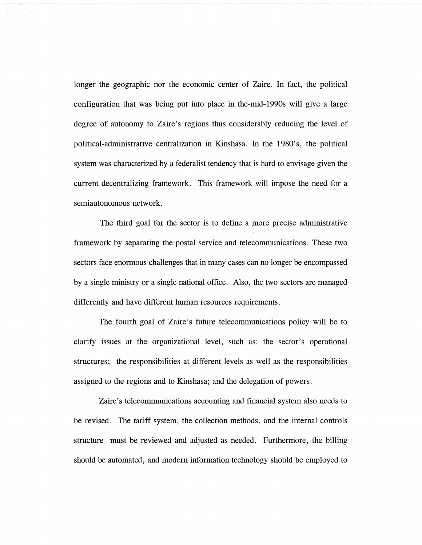longer the geographic nor the economic center of Zaire. In fact, the political configuration that was being put into place in the-mid-1990s will give a large degree of autonomy to Zaire's regions thus considerably reducing the level of political-administrative centralization in Kinshasa. In the 1980's, the political system was characterized by a federalist tendency that is hard to envisage given the current decentralizing framework. This framework will impose the need for a semiautonomous network.

The third goal for the sector is to define a more precise administrative framework by separating the postal service and telecommunications. These two sectors face enormous challenges that in many cases can no longer be encompassed by a single ministry or a single national office. Also, the two sectors are managed differently and have different human resources requirements.

The fourth goal of Zaire's future telecommunications policy will be to clarify issues at the organizational level, such as: the sector's operational structures; the responsibilities at different levels as well as the responsibilities assigned to the regions and to Kinshasa; and the delegation of powers.

Zaire's telecommunications accounting and financial system also needs to be revised. The tariff system, the collection methods, and the internal controls structure must be reviewed and adjusted as needed. Furthermore, the billing should be automated, and modern information technology should be employed to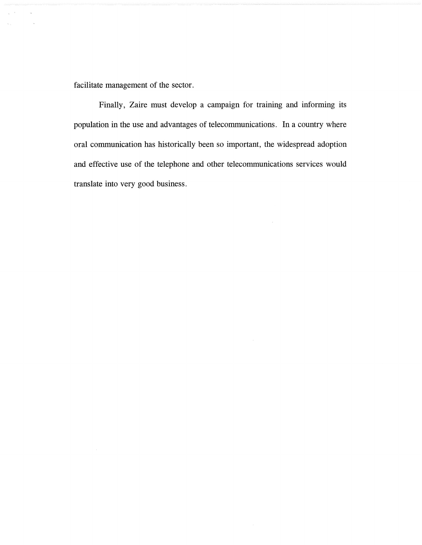facilitate management of the sector.

 $\chi^2$  ,  $\chi^2$ 

 $\bar{\gamma}$ 

Finally, Zaire must develop a campaign for training and informing its population in the use and advantages of telecommunications. In a country where oral communication has historically been so important, the widespread adoption and effective use of the telephone and other telecommunications services would translate into very good business.